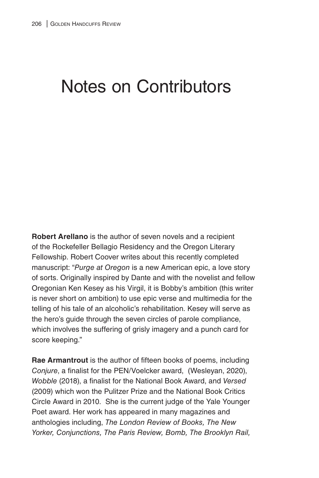## Notes on Contributors

**Robert Arellano** is the author of seven novels and a recipient of the Rockefeller Bellagio Residency and the Oregon Literary Fellowship. Robert Coover writes about this recently completed manuscript: "*Purge at Oregon* is a new American epic, a love story of sorts. Originally inspired by Dante and with the novelist and fellow Oregonian Ken Kesey as his Virgil, it is Bobby's ambition (this writer is never short on ambition) to use epic verse and multimedia for the telling of his tale of an alcoholic's rehabilitation. Kesey will serve as the hero's guide through the seven circles of parole compliance, which involves the suffering of grisly imagery and a punch card for score keeping."

**Rae Armantrout** is the author of fifteen books of poems, including *Conjure*, a finalist for the PEN/Voelcker award, (Wesleyan, 2020), *Wobble* (2018), a finalist for the National Book Award, and *Versed* (2009) which won the Pulitzer Prize and the National Book Critics Circle Award in 2010. She is the current judge of the Yale Younger Poet award. Her work has appeared in many magazines and anthologies including, *The London Review of Books, The New Yorker, Conjunctions, The Paris Review, Bomb, The Brooklyn Rail,*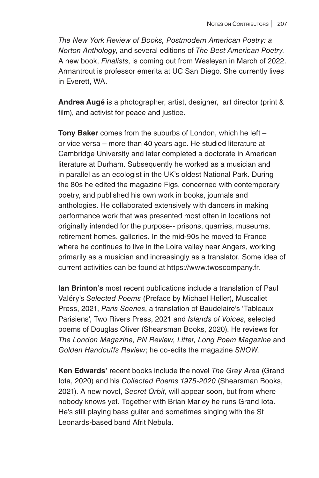*The New York Review of Books, Postmodern American Poetry: a Norton Anthology*, and several editions of *The Best American Poetry*. A new book, *Finalists*, is coming out from Wesleyan in March of 2022. Armantrout is professor emerita at UC San Diego. She currently lives in Everett, WA.

**Andrea Augé** is a photographer, artist, designer, art director (print & film), and activist for peace and justice.

**Tony Baker** comes from the suburbs of London, which he left – or vice versa – more than 40 years ago. He studied literature at Cambridge University and later completed a doctorate in American literature at Durham. Subsequently he worked as a musician and in parallel as an ecologist in the UK's oldest National Park. During the 80s he edited the magazine Figs, concerned with contemporary poetry, and published his own work in books, journals and anthologies. He collaborated extensively with dancers in making performance work that was presented most often in locations not originally intended for the purpose-- prisons, quarries, museums, retirement homes, galleries. In the mid-90s he moved to France where he continues to live in the Loire valley near Angers, working primarily as a musician and increasingly as a translator. Some idea of current activities can be found at https://www.twoscompany.fr.

**Ian Brinton's** most recent publications include a translation of Paul Valéry's *Selected Poems* (Preface by Michael Heller), Muscaliet Press, 2021, *Paris Scenes*, a translation of Baudelaire's 'Tableaux Parisiens', Two Rivers Press, 2021 and *Islands of Voices*, selected poems of Douglas Oliver (Shearsman Books, 2020). He reviews for *The London Magazine, PN Review, Litter, Long Poem Magazine* and *Golden Handcuffs Review*; he co-edits the magazine *SNOW*.

**Ken Edwards'** recent books include the novel *The Grey Area* (Grand Iota, 2020) and his *Collected Poems 1975-2020* (Shearsman Books, 2021). A new novel, *Secret Orbit*, will appear soon, but from where nobody knows yet. Together with Brian Marley he runs Grand Iota. He's still playing bass guitar and sometimes singing with the St Leonards-based band Afrit Nebula.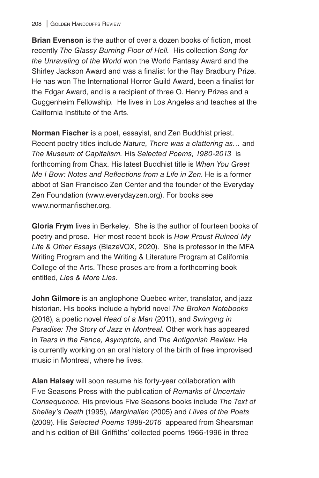**Brian Evenson** is the author of over a dozen books of fiction, most recently *The Glassy Burning Floor of Hell.* His collection *Song for the Unraveling of the World* won the World Fantasy Award and the Shirley Jackson Award and was a finalist for the Ray Bradbury Prize. He has won The International Horror Guild Award, been a finalist for the Edgar Award, and is a recipient of three O. Henry Prizes and a Guggenheim Fellowship. He lives in Los Angeles and teaches at the California Institute of the Arts.

**Norman Fischer** is a poet, essayist, and Zen Buddhist priest. Recent poetry titles include *Nature, There was a clattering as…* and *The Museum of Capitalism.* His *Selected Poems, 1980-2013* is forthcoming from Chax. His latest Buddhist title is *When You Greet Me I Bow: Notes and Reflections from a Life in Zen*. He is a former abbot of San Francisco Zen Center and the founder of the Everyday Zen Foundation (www.everydayzen.org). For books see www.normanfischer.org.

**Gloria Frym** lives in Berkeley. She is the author of fourteen books of poetry and prose. Her most recent book is *How Proust Ruined My Life & Other Essays* (BlazeVOX, 2020). She is professor in the MFA Writing Program and the Writing & Literature Program at California College of the Arts. These proses are from a forthcoming book entitled, *Lies & More Lies*.

**John Gilmore** is an anglophone Quebec writer, translator, and jazz historian. His books include a hybrid novel *The Broken Notebooks* (2018), a poetic novel *Head of a Man* (2011), and *Swinging in Paradise: The Story of Jazz in Montreal.* Other work has appeared in *Tears in the Fence, Asymptote,* and *The Antigonish Review*. He is currently working on an oral history of the birth of free improvised music in Montreal, where he lives.

**Alan Halsey** will soon resume his forty-year collaboration with Five Seasons Press with the publication of *Remarks of Uncertain Consequence.* His previous Five Seasons books include *The Text of Shelley's Death* (1995), *Marginalien* (2005) and *Liives of the Poets* (2009). His *Selected Poems 1988-2016* appeared from Shearsman and his edition of Bill Griffiths' collected poems 1966-1996 in three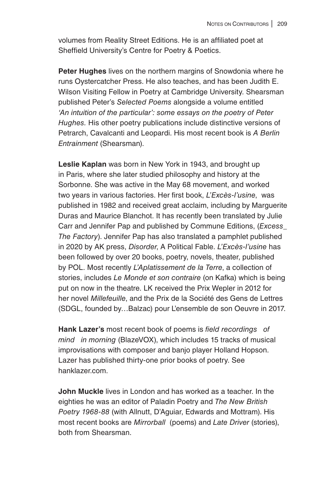volumes from Reality Street Editions. He is an affiliated poet at Sheffield University's Centre for Poetry & Poetics.

**Peter Hughes** lives on the northern margins of Snowdonia where he runs Oystercatcher Press. He also teaches, and has been Judith E. Wilson Visiting Fellow in Poetry at Cambridge University. Shearsman published Peter's *Selected Poems* alongside a volume entitled *'An intuition of the particular': some essays on the poetry of Peter Hughes.* His other poetry publications include distinctive versions of Petrarch, Cavalcanti and Leopardi. His most recent book is *A Berlin Entrainment* (Shearsman).

**Leslie Kaplan** was born in New York in 1943, and brought up in Paris, where she later studied philosophy and history at the Sorbonne. She was active in the May 68 movement, and worked two years in various factories. Her first book, *L'Excès-l'usine*, was published in 1982 and received great acclaim, including by Marguerite Duras and Maurice Blanchot. It has recently been translated by Julie Carr and Jennifer Pap and published by Commune Editions, (*Excess\_ The Factory*). Jennifer Pap has also translated a pamphlet published in 2020 by AK press, *Disorder*, A Political Fable. *L'Excès-l'usine* has been followed by over 20 books, poetry, novels, theater, published by POL. Most recently *L'Aplatissement de la Terre*, a collection of stories, includes *Le Monde et son contraire* (on Kafka) which is being put on now in the theatre. LK received the Prix Wepler in 2012 for her novel *Millefeuille*, and the Prix de la Société des Gens de Lettres (SDGL, founded by…Balzac) pour L'ensemble de son Oeuvre in 2017.

**Hank Lazer's** most recent book of poems is *field recordings of mind in morning* (BlazeVOX), which includes 15 tracks of musical improvisations with composer and banjo player Holland Hopson. Lazer has published thirty-one prior books of poetry. See hanklazer.com.

**John Muckle** lives in London and has worked as a teacher. In the eighties he was an editor of Paladin Poetry and *The New British Poetry 1968-88* (with Allnutt, D'Aguiar, Edwards and Mottram). His most recent books are *Mirrorball* (poems) and *Late Driver* (stories), both from Shearsman.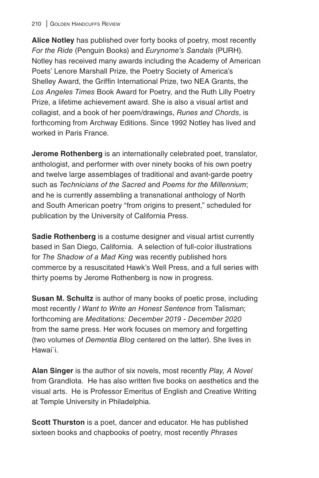## 210 | GOLDEN HANDCUFFS REVIEW

**Alice Notley** has published over forty books of poetry, most recently *For the Ride* (Penguin Books) and *Eurynome's Sandals* (PURH). Notley has received many awards including the Academy of American Poets' Lenore Marshall Prize, the Poetry Society of America's Shelley Award, the Griffin International Prize, two NEA Grants, the *Los Angeles Times* Book Award for Poetry, and the Ruth Lilly Poetry Prize, a lifetime achievement award. She is also a visual artist and collagist, and a book of her poem/drawings, *Runes and Chords*, is forthcoming from Archway Editions. Since 1992 Notley has lived and worked in Paris France.

**Jerome Rothenberg** is an internationally celebrated poet, translator, anthologist, and performer with over ninety books of his own poetry and twelve large assemblages of traditional and avant-garde poetry such as *Technicians of the Sacred* and *Poems for the Millennium*; and he is currently assembling a transnational anthology of North and South American poetry "from origins to present," scheduled for publication by the University of California Press.

**Sadie Rothenberg** is a costume designer and visual artist currently based in San Diego, California. A selection of full-color illustrations for *The Shadow of a Mad King* was recently published hors commerce by a resuscitated Hawk's Well Press, and a full series with thirty poems by Jerome Rothenberg is now in progress.

**Susan M. Schultz** is author of many books of poetic prose, including most recently *I Want to Write an Honest Sentence* from Talisman; forthcoming are *Meditations: December 2019 - December 2020* from the same press. Her work focuses on memory and forgetting (two volumes of *Dementia Blog* centered on the latter). She lives in Hawai`i.

**Alan Singer** is the author of six novels, most recently *Play, A Novel*  from GrandIota. He has also written five books on aesthetics and the visual arts. He is Professor Emeritus of English and Creative Writing at Temple University in Philadelphia.

**Scott Thurston** is a poet, dancer and educator. He has published sixteen books and chapbooks of poetry, most recently *Phrases*